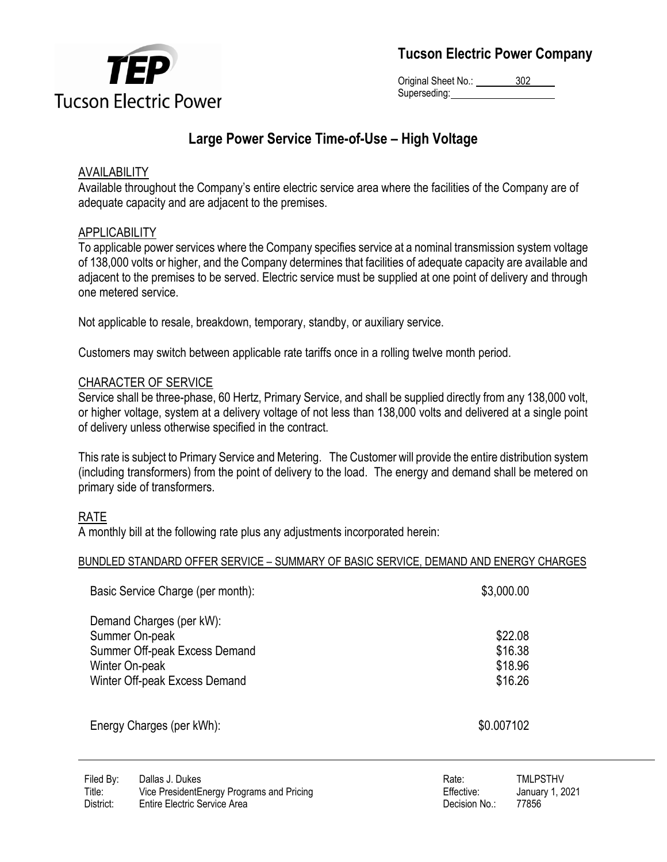

Original Sheet No.: 302 Superseding:

# **Large Power Service Time-of-Use – High Voltage**

### AVAILABILITY

Available throughout the Company's entire electric service area where the facilities of the Company are of adequate capacity and are adjacent to the premises.

### APPLICABILITY

To applicable power services where the Company specifies service at a nominal transmission system voltage of 138,000 volts or higher, and the Company determines that facilities of adequate capacity are available and adjacent to the premises to be served. Electric service must be supplied at one point of delivery and through one metered service.

Not applicable to resale, breakdown, temporary, standby, or auxiliary service.

Customers may switch between applicable rate tariffs once in a rolling twelve month period.

### CHARACTER OF SERVICE

Service shall be three-phase, 60 Hertz, Primary Service, and shall be supplied directly from any 138,000 volt, or higher voltage, system at a delivery voltage of not less than 138,000 volts and delivered at a single point of delivery unless otherwise specified in the contract.

This rate is subject to Primary Service and Metering. The Customer will provide the entire distribution system (including transformers) from the point of delivery to the load. The energy and demand shall be metered on primary side of transformers.

### RATE

A monthly bill at the following rate plus any adjustments incorporated herein:

### BUNDLED STANDARD OFFER SERVICE – SUMMARY OF BASIC SERVICE, DEMAND AND ENERGY CHARGES

| Basic Service Charge (per month):                                                                                              | \$3,000.00                               |
|--------------------------------------------------------------------------------------------------------------------------------|------------------------------------------|
| Demand Charges (per kW):<br>Summer On-peak<br>Summer Off-peak Excess Demand<br>Winter On-peak<br>Winter Off-peak Excess Demand | \$22.08<br>\$16.38<br>\$18.96<br>\$16.26 |
| Energy Charges (per kWh):                                                                                                      | \$0.007102                               |

| Rate:         | <b>TMLPSTHV</b> |
|---------------|-----------------|
| Effective:    | January 1, 202  |
| Decision No.: | 77856           |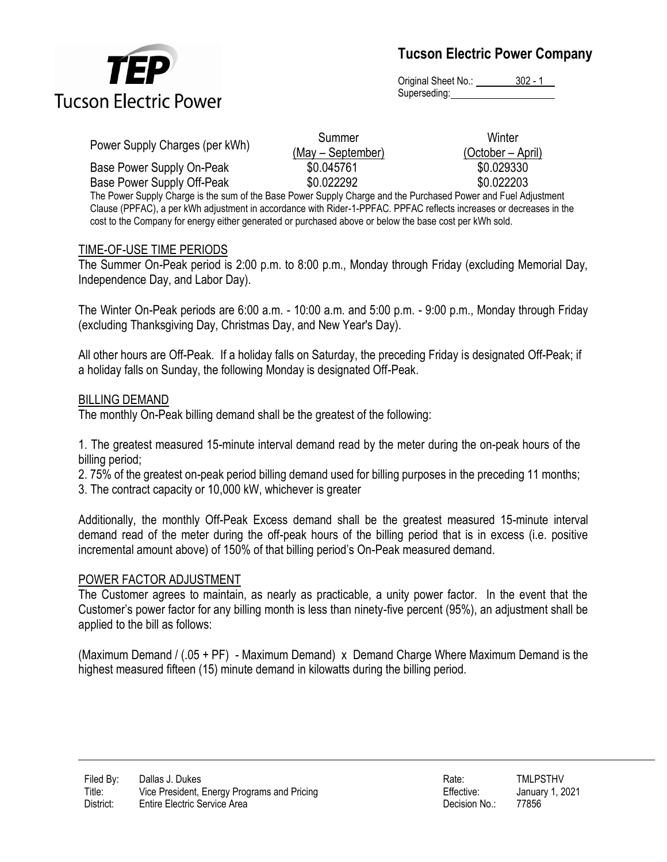

Original Sheet No.: 302 - 1 Superseding:

|                                                                                                             | Summer            | Winter            |
|-------------------------------------------------------------------------------------------------------------|-------------------|-------------------|
| Power Supply Charges (per kWh)                                                                              | (May – September) | (October – April) |
| Base Power Supply On-Peak                                                                                   | \$0.045761        | \$0.029330        |
| Base Power Supply Off-Peak                                                                                  | \$0.022292        | \$0.022203        |
| The Dower Supply Charge is the sum of the Rase Dower Supply Charge and the Durchased Dower and Eugl Adjustm |                   |                   |

The Power Supply Charge is the sum of the Base Power Supply Charge and the Purchased Power and Fuel Adjustment Clause (PPFAC), a per kWh adjustment in accordance with Rider-1-PPFAC. PPFAC reflects increases or decreases in the cost to the Company for energy either generated or purchased above or below the base cost per kWh sold.

#### TIME-OF-USE TIME PERIODS

The Summer On-Peak period is 2:00 p.m. to 8:00 p.m., Monday through Friday (excluding Memorial Day, Independence Day, and Labor Day).

The Winter On-Peak periods are 6:00 a.m. - 10:00 a.m. and 5:00 p.m. - 9:00 p.m., Monday through Friday (excluding Thanksgiving Day, Christmas Day, and New Year's Day).

All other hours are Off-Peak. If a holiday falls on Saturday, the preceding Friday is designated Off-Peak; if a holiday falls on Sunday, the following Monday is designated Off-Peak.

#### BILLING DEMAND

The monthly On-Peak billing demand shall be the greatest of the following:

1. The greatest measured 15-minute interval demand read by the meter during the on-peak hours of the billing period;

2. 2. 75% of the greatest on-peak period billing demand used for billing purposes in the preceding 11 months;

3. The contract capacity or 10,000 kW, whichever is greater

Additionally, the monthly Off-Peak Excess demand shall be the greatest measured 15-minute interval demand read of the meter during the off-peak hours of the billing period that is in excess (i.e. positive incremental amount above) of 150% of that billing period's On-Peak measured demand.

#### POWER FACTOR ADJUSTMENT

The Customer agrees to maintain, as nearly as practicable, a unity power factor. In the event that the Customer's power factor for any billing month is less than ninety-five percent (95%), an adjustment shall be applied to the bill as follows:

(Maximum Demand / (.05 + PF) - Maximum Demand) x Demand Charge Where Maximum Demand is the highest measured fifteen (15) minute demand in kilowatts during the billing period.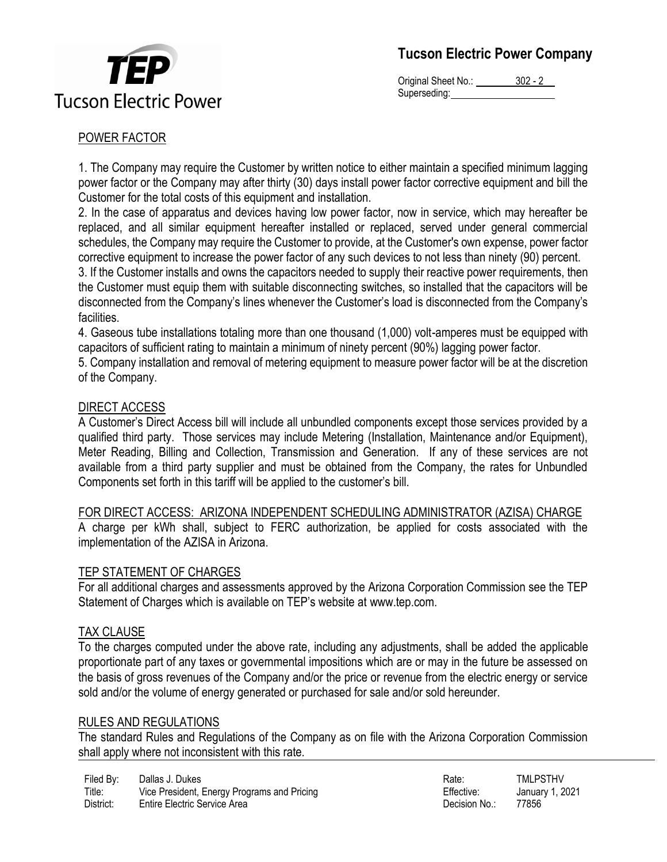

Original Sheet No.: 302 - 2 Superseding:

### POWER FACTOR

1. The Company may require the Customer by written notice to either maintain a specified minimum lagging power factor or the Company may after thirty (30) days install power factor corrective equipment and bill the Customer for the total costs of this equipment and installation.

2. In the case of apparatus and devices having low power factor, now in service, which may hereafter be replaced, and all similar equipment hereafter installed or replaced, served under general commercial schedules, the Company may require the Customer to provide, at the Customer's own expense, power factor corrective equipment to increase the power factor of any such devices to not less than ninety (90) percent.

3. 3. If the Customer installs and owns the capacitors needed to supply their reactive power requirements, then the Customer must equip them with suitable disconnecting switches, so installed that the capacitors will be disconnected from the Company's lines whenever the Customer's load is disconnected from the Company's facilities.

4. 4. Gaseous tube installations totaling more than one thousand (1,000) volt-amperes must be equipped with capacitors of sufficient rating to maintain a minimum of ninety percent (90%) lagging power factor.

5. 5. Company installation and removal of metering equipment to measure power factor will be at the discretion of the Company.

### DIRECT ACCESS

A Customer's Direct Access bill will include all unbundled components except those services provided by a qualified third party. Those services may include Metering (Installation, Maintenance and/or Equipment), Meter Reading, Billing and Collection, Transmission and Generation. If any of these services are not available from a third party supplier and must be obtained from the Company, the rates for Unbundled Components set forth in this tariff will be applied to the customer's bill.

### FOR DIRECT ACCESS: ARIZONA INDEPENDENT SCHEDULING ADMINISTRATOR (AZISA) CHARGE

A charge per kWh shall, subject to FERC authorization, be applied for costs associated with the implementation of the AZISA in Arizona.

### TEP STATEMENT OF CHARGES

For all additional charges and assessments approved by the Arizona Corporation Commission see the TEP Statement of Charges which is available on TEP's website at www.tep.com.

### TAX CLAUSE

To the charges computed under the above rate, including any adjustments, shall be added the applicable proportionate part of any taxes or governmental impositions which are or may in the future be assessed on the basis of gross revenues of the Company and/or the price or revenue from the electric energy or service sold and/or the volume of energy generated or purchased for sale and/or sold hereunder.

### RULES AND REGULATIONS

The standard Rules and Regulations of the Company as on file with the Arizona Corporation Commission shall apply where not inconsistent with this rate.

| Filed By: | Dallas J. Dukes                             | Rate.         | TMLPSTHV        |
|-----------|---------------------------------------------|---------------|-----------------|
| Title:    | Vice President, Energy Programs and Pricing | Effective:    | January 1, 2021 |
| District: | <b>Entire Electric Service Area</b>         | Decision No.: | 77856           |

| Rate:         | <b>TMLPSTHV</b> |
|---------------|-----------------|
| Effective:    | January 1, 2021 |
| Decision No.: | 77856           |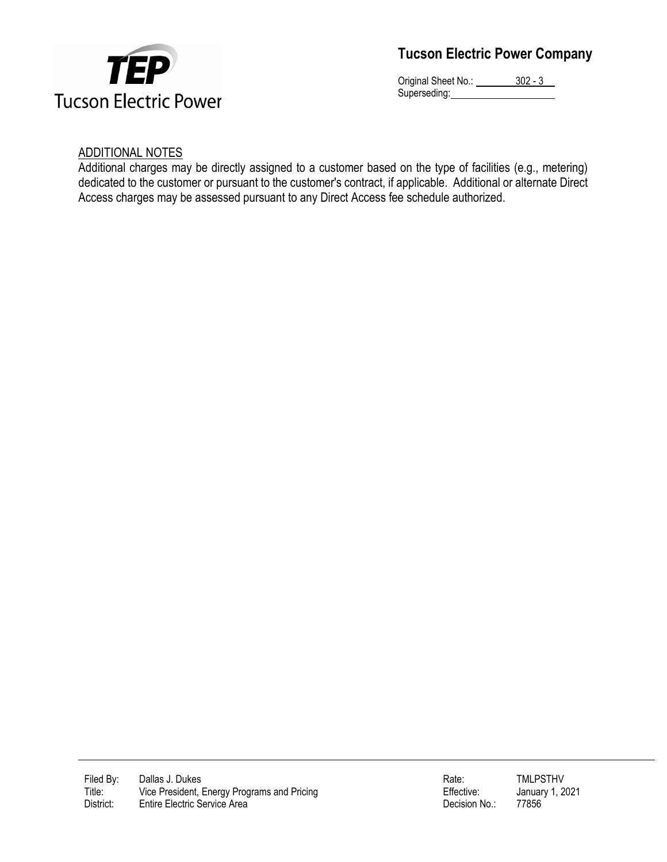

Original Sheet No.: 302 - 3 Superseding: William Superseding:

### ADDITIONAL NOTES

Additional charges may be directly assigned to a customer based on the type of facilities (e.g., metering) dedicated to the customer or pursuant to the customer's contract, if applicable. Additional or alternate Direct Access charges may be assessed pursuant to any Direct Access fee schedule authorized.